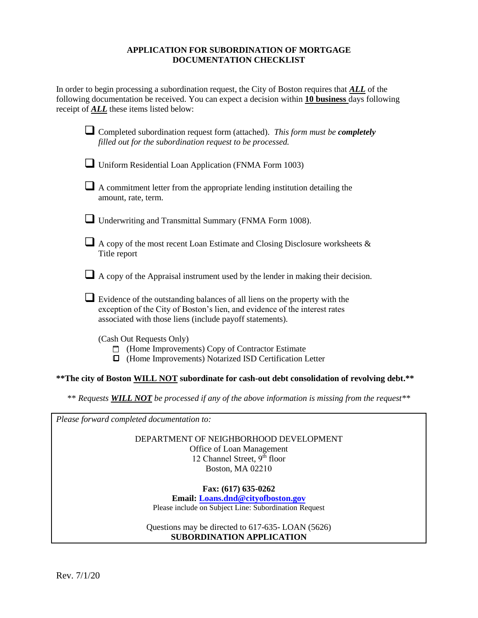#### **APPLICATION FOR SUBORDINATION OF MORTGAGE DOCUMENTATION CHECKLIST**

In order to begin processing a subordination request, the City of Boston requires that *ALL* of the following documentation be received. You can expect a decision within **10 business** days following receipt of *ALL* these items listed below:

| Completed subordination request form (attached). This form must be completely<br>filled out for the subordination request to be processed.                                                                           |
|----------------------------------------------------------------------------------------------------------------------------------------------------------------------------------------------------------------------|
| Uniform Residential Loan Application (FNMA Form 1003)                                                                                                                                                                |
| A commitment letter from the appropriate lending institution detailing the<br>amount, rate, term.                                                                                                                    |
| Underwriting and Transmittal Summary (FNMA Form 1008).                                                                                                                                                               |
| A copy of the most recent Loan Estimate and Closing Disclosure worksheets &<br>Title report                                                                                                                          |
| A copy of the Appraisal instrument used by the lender in making their decision.                                                                                                                                      |
| Evidence of the outstanding balances of all liens on the property with the<br>exception of the City of Boston's lien, and evidence of the interest rates<br>associated with those liens (include payoff statements). |
| (Cash Out Requests Only)<br>(Home Improvements) Copy of Contractor Estimate<br>(Home Improvements) Notarized ISD Certification Letter<br>O                                                                           |

#### **\*\*The city of Boston WILL NOT subordinate for cash-out debt consolidation of revolving debt.\*\***

\*\* *Requests WILL NOT be processed if any of the above information is missing from the request\*\**

*Please forward completed documentation to:* 

DEPARTMENT OF NEIGHBORHOOD DEVELOPMENT Office of Loan Management 12 Channel Street, 9<sup>th</sup> floor Boston, MA 02210

**Fax: (617) 635-0262 Email: [Loans.dnd@cityofboston.gov](mailto:Loans.dnd@cityofboston.gov)** Please include on Subject Line: Subordination Request

Questions may be directed to 617-635- LOAN (5626) **SUBORDINATION APPLICATION**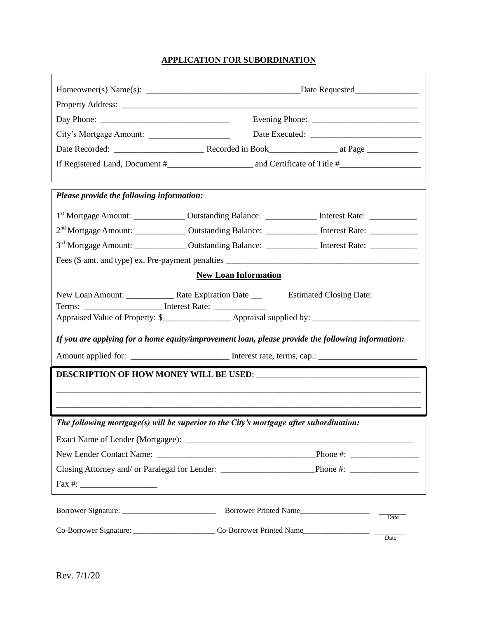## **APPLICATION FOR SUBORDINATION**

٦

|                                           | Day Phone: $\frac{1}{\sqrt{1-\frac{1}{2}}}\left[\frac{1}{2}\right]$                                            |                       |                          |  |
|-------------------------------------------|----------------------------------------------------------------------------------------------------------------|-----------------------|--------------------------|--|
| City's Mortgage Amount:                   |                                                                                                                |                       |                          |  |
|                                           |                                                                                                                |                       |                          |  |
|                                           |                                                                                                                |                       |                          |  |
| Please provide the following information: |                                                                                                                |                       |                          |  |
|                                           | 1 <sup>st</sup> Mortgage Amount: ______________ Outstanding Balance: ______________ Interest Rate: ___________ |                       |                          |  |
|                                           | 2 <sup>nd</sup> Mortgage Amount: _______________ Outstanding Balance: ______________ Interest Rate: __________ |                       |                          |  |
|                                           | 3 <sup>rd</sup> Mortgage Amount: _______________ Outstanding Balance: ______________ Interest Rate: __________ |                       |                          |  |
|                                           |                                                                                                                |                       |                          |  |
| <b>New Loan Information</b>               |                                                                                                                |                       |                          |  |
|                                           | Terms: __________________________ Interest Rate: ________________________________                              |                       |                          |  |
|                                           |                                                                                                                |                       |                          |  |
|                                           | If you are applying for a home equity/improvement loan, please provide the following information:              |                       |                          |  |
|                                           | Amount applied for: _______________________________ Interest rate, terms, cap.: ______________________________ |                       |                          |  |
|                                           |                                                                                                                |                       |                          |  |
|                                           |                                                                                                                |                       |                          |  |
|                                           |                                                                                                                |                       |                          |  |
|                                           | The following mortgage(s) will be superior to the City's mortgage after subordination:                         |                       |                          |  |
|                                           |                                                                                                                |                       |                          |  |
|                                           |                                                                                                                |                       |                          |  |
|                                           | Closing Attorney and/ or Paralegal for Lender: Phone #:                                                        |                       |                          |  |
|                                           |                                                                                                                |                       |                          |  |
|                                           |                                                                                                                |                       |                          |  |
|                                           |                                                                                                                | Borrower Printed Name | Date                     |  |
|                                           |                                                                                                                |                       |                          |  |
|                                           |                                                                                                                |                       | $\overline{\text{Date}}$ |  |

 $\mathbf{r}$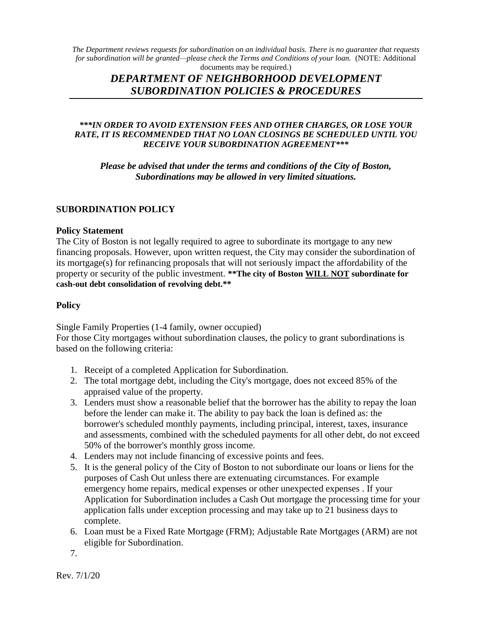*The Department reviews requests for subordination on an individual basis. There is no guarantee that requests for subordination will be granted—please check the Terms and Conditions of your loan.* (NOTE: Additional documents may be required.)

# *DEPARTMENT OF NEIGHBORHOOD DEVELOPMENT SUBORDINATION POLICIES & PROCEDURES*

### *\*\*\*IN ORDER TO AVOID EXTENSION FEES AND OTHER CHARGES, OR LOSE YOUR RATE, IT IS RECOMMENDED THAT NO LOAN CLOSINGS BE SCHEDULED UNTIL YOU RECEIVE YOUR SUBORDINATION AGREEMENT\*\*\**

*Please be advised that under the terms and conditions of the City of Boston, Subordinations may be allowed in very limited situations.* 

## **SUBORDINATION POLICY**

### **Policy Statement**

The City of Boston is not legally required to agree to subordinate its mortgage to any new financing proposals. However, upon written request, the City may consider the subordination of its mortgage(s) for refinancing proposals that will not seriously impact the affordability of the property or security of the public investment. **\*\*The city of Boston WILL NOT subordinate for cash-out debt consolidation of revolving debt.\*\*** 

## **Policy**

Single Family Properties (1-4 family, owner occupied)

For those City mortgages without subordination clauses, the policy to grant subordinations is based on the following criteria:

- 1. Receipt of a completed Application for Subordination.
- 2. The total mortgage debt, including the City's mortgage, does not exceed 85% of the appraised value of the property.
- 3. Lenders must show a reasonable belief that the borrower has the ability to repay the loan before the lender can make it. The ability to pay back the loan is defined as: the borrower's scheduled monthly payments, including principal, interest, taxes, insurance and assessments, combined with the scheduled payments for all other debt, do not exceed 50% of the borrower's monthly gross income.
- 4. Lenders may not include financing of excessive points and fees.
- 5. It is the general policy of the City of Boston to not subordinate our loans or liens for the purposes of Cash Out unless there are extenuating circumstances. For example emergency home repairs, medical expenses or other unexpected expenses . If your Application for Subordination includes a Cash Out mortgage the processing time for your application falls under exception processing and may take up to 21 business days to complete.
- 6. Loan must be a Fixed Rate Mortgage (FRM); Adjustable Rate Mortgages (ARM) are not eligible for Subordination.

7.